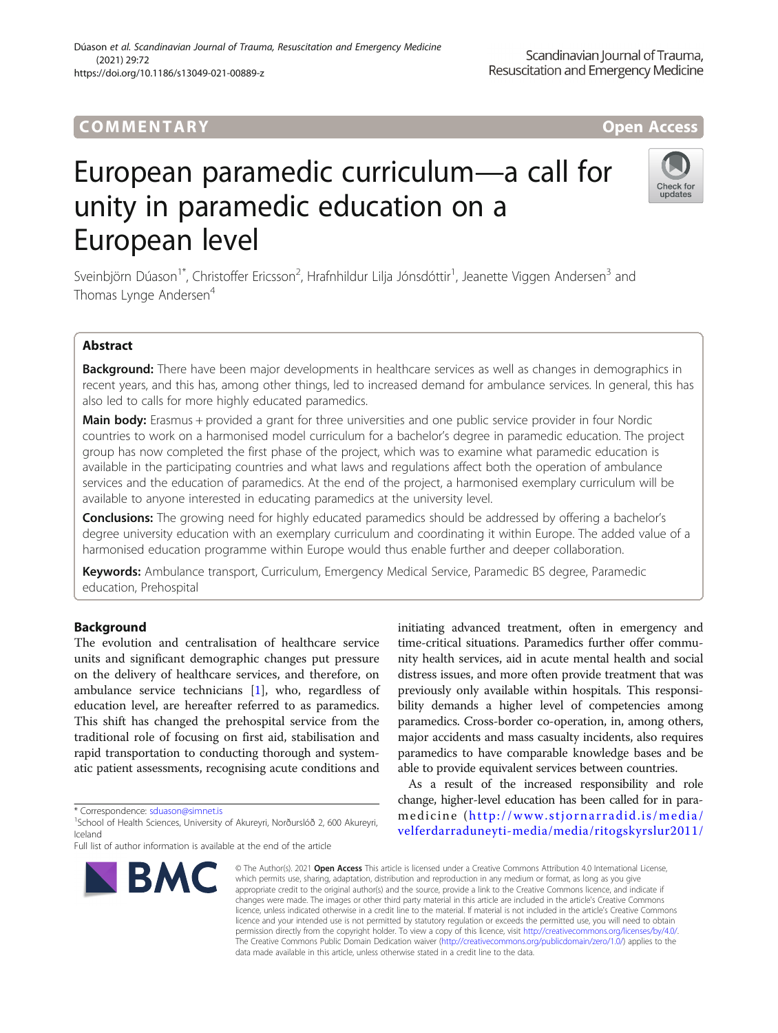# COMM EN TARY Open Access

# European paramedic curriculum—a call for unity in paramedic education on a European level



Sveinbjörn Dúason<sup>1\*</sup>, Christoffer Ericsson<sup>2</sup>, Hrafnhildur Lilja Jónsdóttir<sup>1</sup>, Jeanette Viggen Andersen<sup>3</sup> and Thomas Lynge Andersen<sup>4</sup>

# Abstract

Background: There have been major developments in healthcare services as well as changes in demographics in recent years, and this has, among other things, led to increased demand for ambulance services. In general, this has also led to calls for more highly educated paramedics.

Main body: Erasmus + provided a grant for three universities and one public service provider in four Nordic countries to work on a harmonised model curriculum for a bachelor's degree in paramedic education. The project group has now completed the first phase of the project, which was to examine what paramedic education is available in the participating countries and what laws and regulations affect both the operation of ambulance services and the education of paramedics. At the end of the project, a harmonised exemplary curriculum will be available to anyone interested in educating paramedics at the university level.

**Conclusions:** The growing need for highly educated paramedics should be addressed by offering a bachelor's degree university education with an exemplary curriculum and coordinating it within Europe. The added value of a harmonised education programme within Europe would thus enable further and deeper collaboration.

Keywords: Ambulance transport, Curriculum, Emergency Medical Service, Paramedic BS degree, Paramedic education, Prehospital

# Background

The evolution and centralisation of healthcare service units and significant demographic changes put pressure on the delivery of healthcare services, and therefore, on ambulance service technicians [[1\]](#page-3-0), who, regardless of education level, are hereafter referred to as paramedics. This shift has changed the prehospital service from the traditional role of focusing on first aid, stabilisation and rapid transportation to conducting thorough and systematic patient assessments, recognising acute conditions and

\* Correspondence: [sduason@simnet.is](mailto:sduason@simnet.is) <sup>1</sup>

Full list of author information is available at the end of the article



initiating advanced treatment, often in emergency and time-critical situations. Paramedics further offer community health services, aid in acute mental health and social distress issues, and more often provide treatment that was previously only available within hospitals. This responsibility demands a higher level of competencies among paramedics. Cross-border co-operation, in, among others, major accidents and mass casualty incidents, also requires paramedics to have comparable knowledge bases and be able to provide equivalent services between countries.

As a result of the increased responsibility and role change, higher-level education has been called for in paramedicine ([http://www.stjornarradid.is/media/](http://www.stjornarradid.is/media/velferdarraduneyti-media/media/ritogskyrslur2011/IIceland_HCS-Final_report-_Long_version.pdf) [velferdarraduneyti-media/media/ritogskyrslur2011/](http://www.stjornarradid.is/media/velferdarraduneyti-media/media/ritogskyrslur2011/IIceland_HCS-Final_report-_Long_version.pdf)

© The Author(s), 2021 **Open Access** This article is licensed under a Creative Commons Attribution 4.0 International License, which permits use, sharing, adaptation, distribution and reproduction in any medium or format, as long as you give appropriate credit to the original author(s) and the source, provide a link to the Creative Commons licence, and indicate if changes were made. The images or other third party material in this article are included in the article's Creative Commons licence, unless indicated otherwise in a credit line to the material. If material is not included in the article's Creative Commons licence and your intended use is not permitted by statutory regulation or exceeds the permitted use, you will need to obtain permission directly from the copyright holder. To view a copy of this licence, visit [http://creativecommons.org/licenses/by/4.0/.](http://creativecommons.org/licenses/by/4.0/) The Creative Commons Public Domain Dedication waiver [\(http://creativecommons.org/publicdomain/zero/1.0/](http://creativecommons.org/publicdomain/zero/1.0/)) applies to the data made available in this article, unless otherwise stated in a credit line to the data.

<sup>&</sup>lt;sup>1</sup>School of Health Sciences, University of Akureyri, Norðurslóð 2, 600 Akureyri, Iceland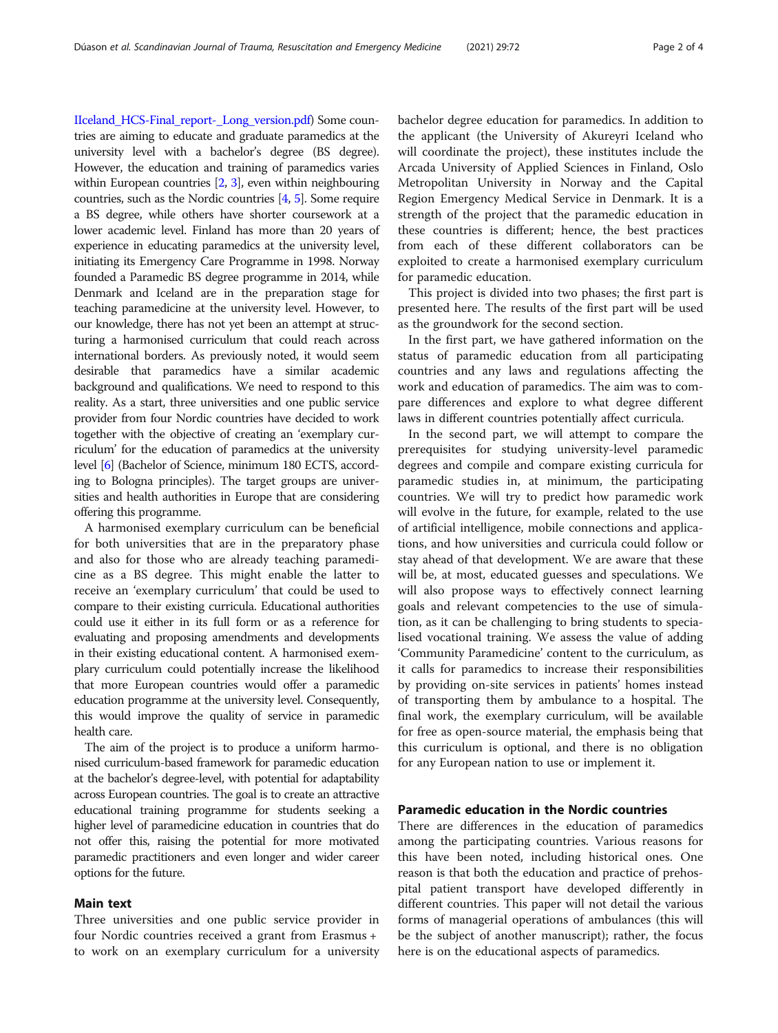[IIceland\\_HCS-Final\\_report-\\_Long\\_version.pdf\)](http://www.stjornarradid.is/media/velferdarraduneyti-media/media/ritogskyrslur2011/IIceland_HCS-Final_report-_Long_version.pdf) Some countries are aiming to educate and graduate paramedics at the university level with a bachelor's degree (BS degree). However, the education and training of paramedics varies within European countries [\[2,](#page-3-0) [3\]](#page-3-0), even within neighbouring countries, such as the Nordic countries [\[4,](#page-3-0) [5](#page-3-0)]. Some require a BS degree, while others have shorter coursework at a lower academic level. Finland has more than 20 years of experience in educating paramedics at the university level, initiating its Emergency Care Programme in 1998. Norway founded a Paramedic BS degree programme in 2014, while Denmark and Iceland are in the preparation stage for teaching paramedicine at the university level. However, to our knowledge, there has not yet been an attempt at structuring a harmonised curriculum that could reach across international borders. As previously noted, it would seem desirable that paramedics have a similar academic background and qualifications. We need to respond to this reality. As a start, three universities and one public service provider from four Nordic countries have decided to work together with the objective of creating an 'exemplary curriculum' for the education of paramedics at the university level [\[6\]](#page-3-0) (Bachelor of Science, minimum 180 ECTS, according to Bologna principles). The target groups are universities and health authorities in Europe that are considering offering this programme.

A harmonised exemplary curriculum can be beneficial for both universities that are in the preparatory phase and also for those who are already teaching paramedicine as a BS degree. This might enable the latter to receive an 'exemplary curriculum' that could be used to compare to their existing curricula. Educational authorities could use it either in its full form or as a reference for evaluating and proposing amendments and developments in their existing educational content. A harmonised exemplary curriculum could potentially increase the likelihood that more European countries would offer a paramedic education programme at the university level. Consequently, this would improve the quality of service in paramedic health care.

The aim of the project is to produce a uniform harmonised curriculum-based framework for paramedic education at the bachelor's degree-level, with potential for adaptability across European countries. The goal is to create an attractive educational training programme for students seeking a higher level of paramedicine education in countries that do not offer this, raising the potential for more motivated paramedic practitioners and even longer and wider career options for the future.

#### Main text

Three universities and one public service provider in four Nordic countries received a grant from Erasmus + to work on an exemplary curriculum for a university

bachelor degree education for paramedics. In addition to the applicant (the University of Akureyri Iceland who will coordinate the project), these institutes include the Arcada University of Applied Sciences in Finland, Oslo Metropolitan University in Norway and the Capital Region Emergency Medical Service in Denmark. It is a strength of the project that the paramedic education in these countries is different; hence, the best practices from each of these different collaborators can be exploited to create a harmonised exemplary curriculum for paramedic education.

This project is divided into two phases; the first part is presented here. The results of the first part will be used as the groundwork for the second section.

In the first part, we have gathered information on the status of paramedic education from all participating countries and any laws and regulations affecting the work and education of paramedics. The aim was to compare differences and explore to what degree different laws in different countries potentially affect curricula.

In the second part, we will attempt to compare the prerequisites for studying university-level paramedic degrees and compile and compare existing curricula for paramedic studies in, at minimum, the participating countries. We will try to predict how paramedic work will evolve in the future, for example, related to the use of artificial intelligence, mobile connections and applications, and how universities and curricula could follow or stay ahead of that development. We are aware that these will be, at most, educated guesses and speculations. We will also propose ways to effectively connect learning goals and relevant competencies to the use of simulation, as it can be challenging to bring students to specialised vocational training. We assess the value of adding 'Community Paramedicine' content to the curriculum, as it calls for paramedics to increase their responsibilities by providing on-site services in patients' homes instead of transporting them by ambulance to a hospital. The final work, the exemplary curriculum, will be available for free as open-source material, the emphasis being that this curriculum is optional, and there is no obligation for any European nation to use or implement it.

### Paramedic education in the Nordic countries

There are differences in the education of paramedics among the participating countries. Various reasons for this have been noted, including historical ones. One reason is that both the education and practice of prehospital patient transport have developed differently in different countries. This paper will not detail the various forms of managerial operations of ambulances (this will be the subject of another manuscript); rather, the focus here is on the educational aspects of paramedics.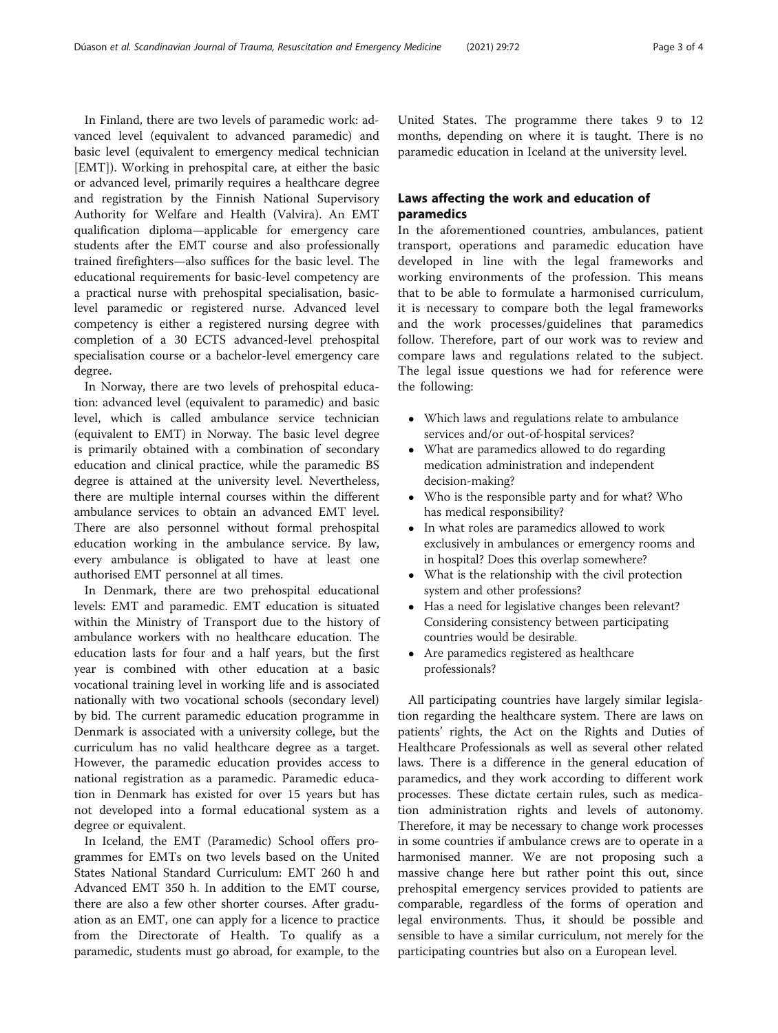In Finland, there are two levels of paramedic work: advanced level (equivalent to advanced paramedic) and basic level (equivalent to emergency medical technician [EMT]). Working in prehospital care, at either the basic or advanced level, primarily requires a healthcare degree and registration by the Finnish National Supervisory Authority for Welfare and Health (Valvira). An EMT qualification diploma—applicable for emergency care students after the EMT course and also professionally trained firefighters—also suffices for the basic level. The educational requirements for basic-level competency are a practical nurse with prehospital specialisation, basiclevel paramedic or registered nurse. Advanced level competency is either a registered nursing degree with completion of a 30 ECTS advanced-level prehospital specialisation course or a bachelor-level emergency care degree.

In Norway, there are two levels of prehospital education: advanced level (equivalent to paramedic) and basic level, which is called ambulance service technician (equivalent to EMT) in Norway. The basic level degree is primarily obtained with a combination of secondary education and clinical practice, while the paramedic BS degree is attained at the university level. Nevertheless, there are multiple internal courses within the different ambulance services to obtain an advanced EMT level. There are also personnel without formal prehospital education working in the ambulance service. By law, every ambulance is obligated to have at least one authorised EMT personnel at all times.

In Denmark, there are two prehospital educational levels: EMT and paramedic. EMT education is situated within the Ministry of Transport due to the history of ambulance workers with no healthcare education. The education lasts for four and a half years, but the first year is combined with other education at a basic vocational training level in working life and is associated nationally with two vocational schools (secondary level) by bid. The current paramedic education programme in Denmark is associated with a university college, but the curriculum has no valid healthcare degree as a target. However, the paramedic education provides access to national registration as a paramedic. Paramedic education in Denmark has existed for over 15 years but has not developed into a formal educational system as a degree or equivalent.

In Iceland, the EMT (Paramedic) School offers programmes for EMTs on two levels based on the United States National Standard Curriculum: EMT 260 h and Advanced EMT 350 h. In addition to the EMT course, there are also a few other shorter courses. After graduation as an EMT, one can apply for a licence to practice from the Directorate of Health. To qualify as a paramedic, students must go abroad, for example, to the United States. The programme there takes 9 to 12 months, depending on where it is taught. There is no paramedic education in Iceland at the university level.

# Laws affecting the work and education of paramedics

In the aforementioned countries, ambulances, patient transport, operations and paramedic education have developed in line with the legal frameworks and working environments of the profession. This means that to be able to formulate a harmonised curriculum, it is necessary to compare both the legal frameworks and the work processes/guidelines that paramedics follow. Therefore, part of our work was to review and compare laws and regulations related to the subject. The legal issue questions we had for reference were the following:

- Which laws and regulations relate to ambulance services and/or out-of-hospital services?
- What are paramedics allowed to do regarding medication administration and independent decision-making?
- Who is the responsible party and for what? Who has medical responsibility?
- In what roles are paramedics allowed to work exclusively in ambulances or emergency rooms and in hospital? Does this overlap somewhere?
- What is the relationship with the civil protection system and other professions?
- Has a need for legislative changes been relevant? Considering consistency between participating countries would be desirable.
- Are paramedics registered as healthcare professionals?

All participating countries have largely similar legislation regarding the healthcare system. There are laws on patients' rights, the Act on the Rights and Duties of Healthcare Professionals as well as several other related laws. There is a difference in the general education of paramedics, and they work according to different work processes. These dictate certain rules, such as medication administration rights and levels of autonomy. Therefore, it may be necessary to change work processes in some countries if ambulance crews are to operate in a harmonised manner. We are not proposing such a massive change here but rather point this out, since prehospital emergency services provided to patients are comparable, regardless of the forms of operation and legal environments. Thus, it should be possible and sensible to have a similar curriculum, not merely for the participating countries but also on a European level.